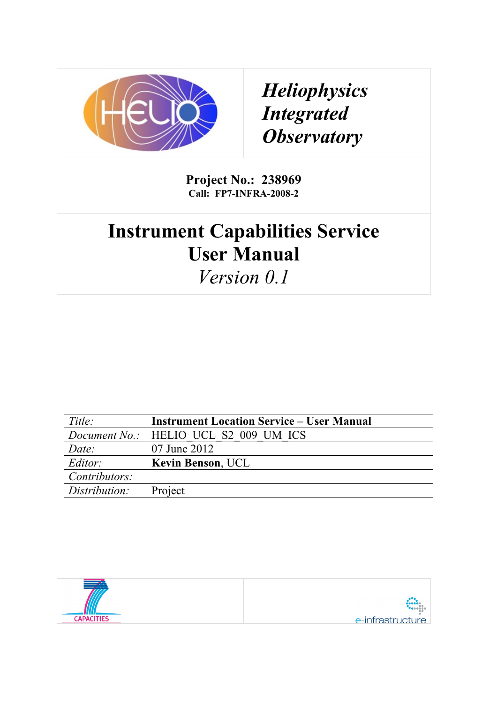

*Heliophysics Integrated Observatory*

**Project No.: 238969 Call: FP7-INFRA-2008-2**

# **Instrument Capabilities Service User Manual**

*Version 0.1*

| Title:        | <b>Instrument Location Service – User Manual</b> |  |
|---------------|--------------------------------------------------|--|
|               | <i>Document No.:</i>   HELIO UCL S2 009 UM ICS   |  |
| Date:         | 07 June 2012                                     |  |
| Editor:       | <b>Kevin Benson, UCL</b>                         |  |
| Contributors: |                                                  |  |
| Distribution: | Project                                          |  |

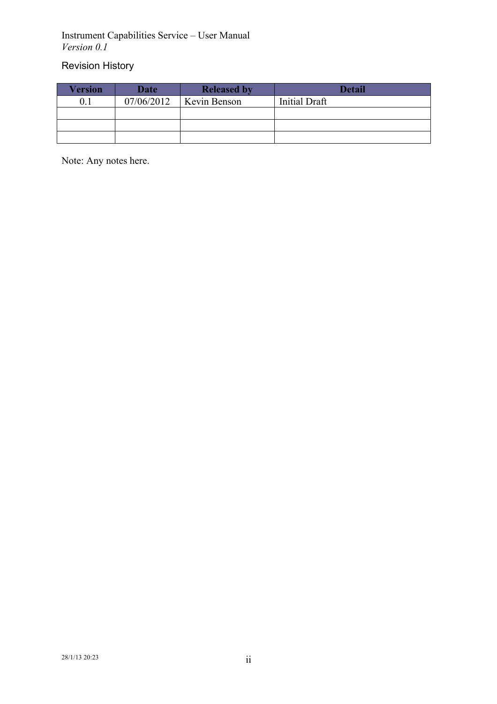## Revision History

| Version | <b>Date</b> | <b>Released by</b> | <b>Detail</b> |
|---------|-------------|--------------------|---------------|
|         | 07/06/2012  | Kevin Benson       | Initial Draft |
|         |             |                    |               |
|         |             |                    |               |
|         |             |                    |               |

Note: Any notes here.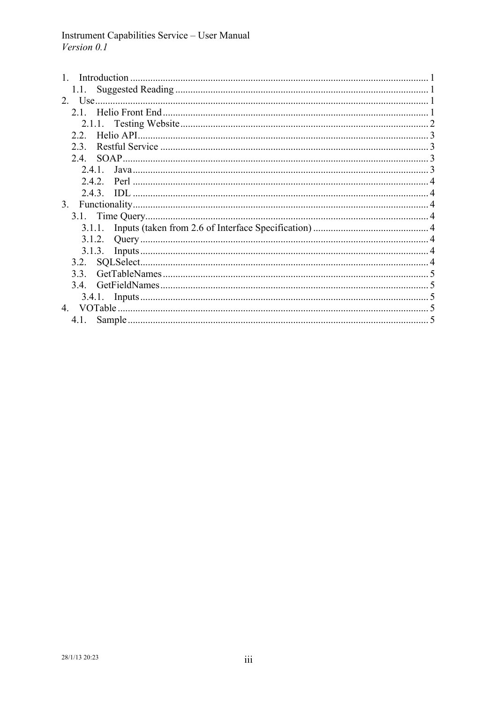| 1.1. – |  |
|--------|--|
|        |  |
|        |  |
|        |  |
| 22     |  |
| 23     |  |
| 2.4    |  |
| 241    |  |
|        |  |
|        |  |
| 3.     |  |
|        |  |
|        |  |
|        |  |
|        |  |
|        |  |
| 33     |  |
| 34     |  |
|        |  |
|        |  |
| 4.1.   |  |
|        |  |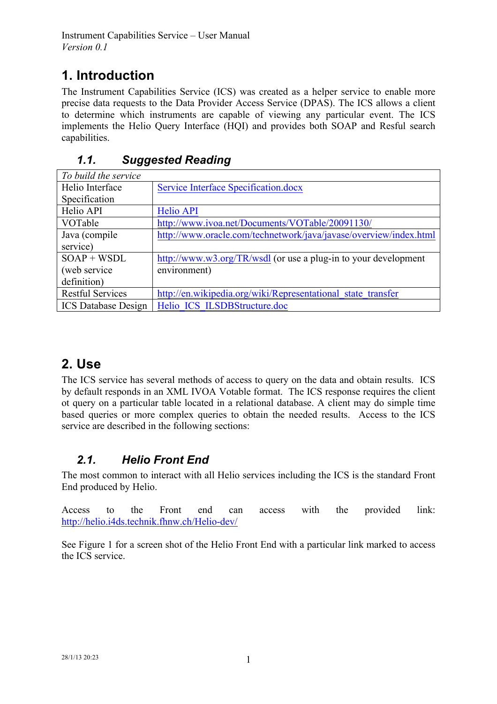# **1. Introduction**

The Instrument Capabilities Service (ICS) was created as a helper service to enable more precise data requests to the Data Provider Access Service (DPAS). The ICS allows a client to determine which instruments are capable of viewing any particular event. The ICS implements the Helio Query Interface (HQI) and provides both SOAP and Resful search capabilities.

| To build the service       |                                                                   |
|----------------------------|-------------------------------------------------------------------|
| Helio Interface            | Service Interface Specification.docx                              |
| Specification              |                                                                   |
| Helio API                  | <b>Helio API</b>                                                  |
| VOTable                    | http://www.ivoa.net/Documents/VOTable/20091130/                   |
| Java (compile)             | http://www.oracle.com/technetwork/java/javase/overview/index.html |
| service)                   |                                                                   |
| $SOAP + WSDL$              | http://www.w3.org/TR/wsdl (or use a plug-in to your development   |
| (web service)              | environment)                                                      |
| definition)                |                                                                   |
| <b>Restful Services</b>    | http://en.wikipedia.org/wiki/Representational state transfer      |
| <b>ICS</b> Database Design | Helio ICS ILSDBStructure.doc                                      |

## *1.1. Suggested Reading*

# **2. Use**

The ICS service has several methods of access to query on the data and obtain results. ICS by default responds in an XML IVOA Votable format. The ICS response requires the client ot query on a particular table located in a relational database. A client may do simple time based queries or more complex queries to obtain the needed results. Access to the ICS service are described in the following sections:

## *2.1. Helio Front End*

The most common to interact with all Helio services including the ICS is the standard Front End produced by Helio.

Access to the Front end can access with the provided link: http://helio.i4ds.technik.fhnw.ch/Helio-dev/

See Figure 1 for a screen shot of the Helio Front End with a particular link marked to access the ICS service.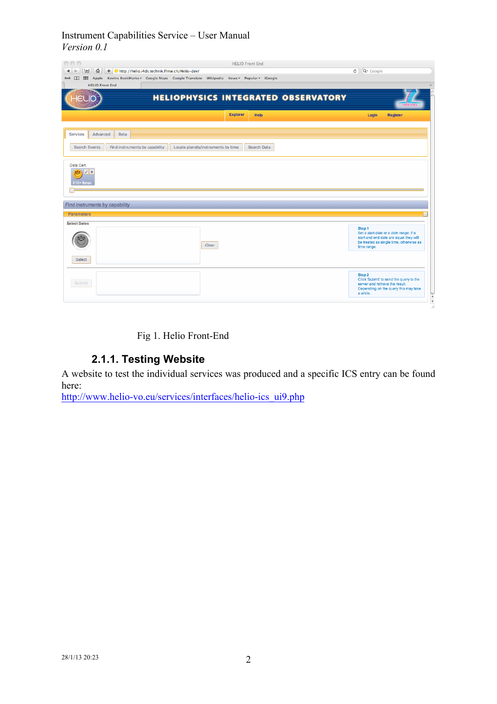| 000<br><b>HELIO Front End</b><br>♤<br>+ * http://helio.i4ds.technik.fhnw.ch/Helio-dev/<br>Τ<br>$\blacktriangleleft$<br>$\triangleright$<br>IIII Apple Kevins BookMarks v Google Maps Google Translate Wikipedia News v Popular v iGoogle<br>$60$ $\Box$<br><b>HELIO Front End</b> | Q <sup>v</sup> Google<br>$\mathfrak{S}$                                                                                                                   |
|-----------------------------------------------------------------------------------------------------------------------------------------------------------------------------------------------------------------------------------------------------------------------------------|-----------------------------------------------------------------------------------------------------------------------------------------------------------|
| <b>HELIOPHYSICS INTEGRATED OBSERVATORY</b>                                                                                                                                                                                                                                        |                                                                                                                                                           |
| <b>Explorer</b><br>Help                                                                                                                                                                                                                                                           | Login<br><b>Register</b>                                                                                                                                  |
| Advanced<br><b>Services</b><br>Beta                                                                                                                                                                                                                                               |                                                                                                                                                           |
| Search Events<br>Find instruments by capability<br>Locate planets/instruments by time<br>Search Data                                                                                                                                                                              |                                                                                                                                                           |
| Data Cart<br>v.<br>$\boldsymbol{\mathsf{x}}$<br>Ġ<br>X10+ flares                                                                                                                                                                                                                  |                                                                                                                                                           |
| Find instruments by capability                                                                                                                                                                                                                                                    |                                                                                                                                                           |
| <b>Parameters</b>                                                                                                                                                                                                                                                                 | E                                                                                                                                                         |
| <b>Select Dates</b><br>Clear                                                                                                                                                                                                                                                      | Step 1<br>Set a start date or a date range. If a<br>start and end date are equal they will<br>be treated as single time, otherwise as<br>time range.      |
| Select                                                                                                                                                                                                                                                                            |                                                                                                                                                           |
| Submit                                                                                                                                                                                                                                                                            | Step 2<br>Click 'Submit' to send the query to the<br>server and retrieve the result.<br>Depending on the query this may take<br>a while.<br>$\frac{1}{4}$ |

Fig 1. Helio Front-End

#### **2.1.1. Testing Website**

A website to test the individual services was produced and a specific ICS entry can be found here:

http://www.helio-vo.eu/services/interfaces/helio-ics\_ui9.php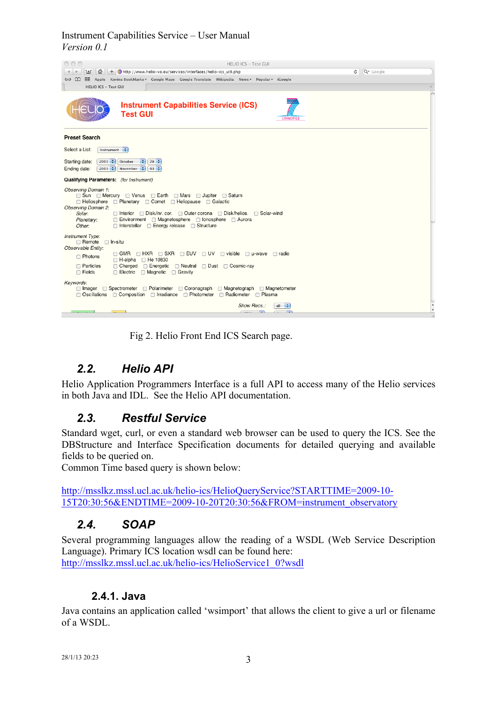

Fig 2. Helio Front End ICS Search page.

## *2.2. Helio API*

Helio Application Programmers Interface is a full API to access many of the Helio services in both Java and IDL. See the Helio API documentation.

#### *2.3. Restful Service*

Standard wget, curl, or even a standard web browser can be used to query the ICS. See the DBStructure and Interface Specification documents for detailed querying and available fields to be queried on.

Common Time based query is shown below:

http://msslkz.mssl.ucl.ac.uk/helio-ics/HelioQueryService?STARTTIME=2009-10- 15T20:30:56&ENDTIME=2009-10-20T20:30:56&FROM=instrument\_observatory

#### *2.4. SOAP*

Several programming languages allow the reading of a WSDL (Web Service Description Language). Primary ICS location wsdl can be found here: http://msslkz.mssl.ucl.ac.uk/helio-ics/HelioService1\_0?wsdl

#### **2.4.1. Java**

Java contains an application called 'wsimport' that allows the client to give a url or filename of a WSDL.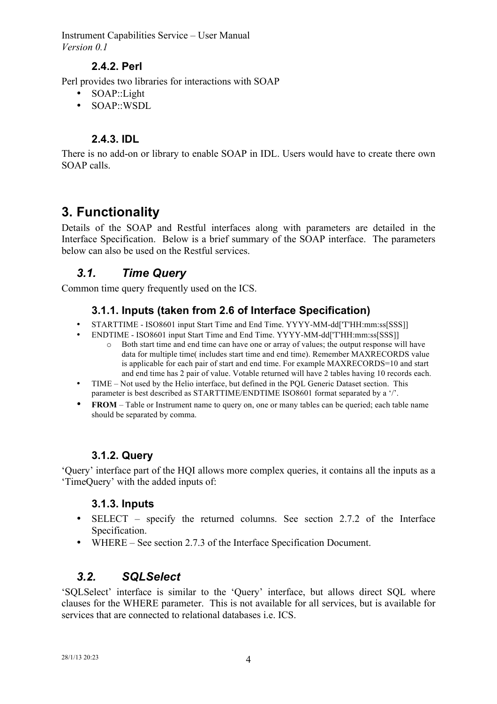#### **2.4.2. Perl**

Perl provides two libraries for interactions with SOAP

- SOAP::Light
- SOAP::WSDL

#### **2.4.3. IDL**

There is no add-on or library to enable SOAP in IDL. Users would have to create there own SOAP calls.

# **3. Functionality**

Details of the SOAP and Restful interfaces along with parameters are detailed in the Interface Specification. Below is a brief summary of the SOAP interface. The parameters below can also be used on the Restful services.

## *3.1. Time Query*

Common time query frequently used on the ICS.

#### **3.1.1. Inputs (taken from 2.6 of Interface Specification)**

- STARTTIME ISO8601 input Start Time and End Time. YYYY-MM-dd['T'HH:mm:ss[SSS]]
- ENDTIME ISO8601 input Start Time and End Time. YYYY-MM-dd['T'HH:mm:ss[SSS]]
	- o Both start time and end time can have one or array of values; the output response will have data for multiple time( includes start time and end time). Remember MAXRECORDS value is applicable for each pair of start and end time. For example MAXRECORDS=10 and start and end time has 2 pair of value. Votable returned will have 2 tables having 10 records each.
- TIME Not used by the Helio interface, but defined in the PQL Generic Dataset section. This parameter is best described as STARTTIME/ENDTIME ISO8601 format separated by a '/'.
- **FROM** Table or Instrument name to query on, one or many tables can be queried; each table name should be separated by comma.

#### **3.1.2. Query**

'Query' interface part of the HQI allows more complex queries, it contains all the inputs as a 'TimeQuery' with the added inputs of:

#### **3.1.3. Inputs**

- SELECT specify the returned columns. See section 2.7.2 of the Interface Specification.
- WHERE See section 2.7.3 of the Interface Specification Document.

## *3.2. SQLSelect*

'SQLSelect' interface is similar to the 'Query' interface, but allows direct SQL where clauses for the WHERE parameter. This is not available for all services, but is available for services that are connected to relational databases i.e. ICS.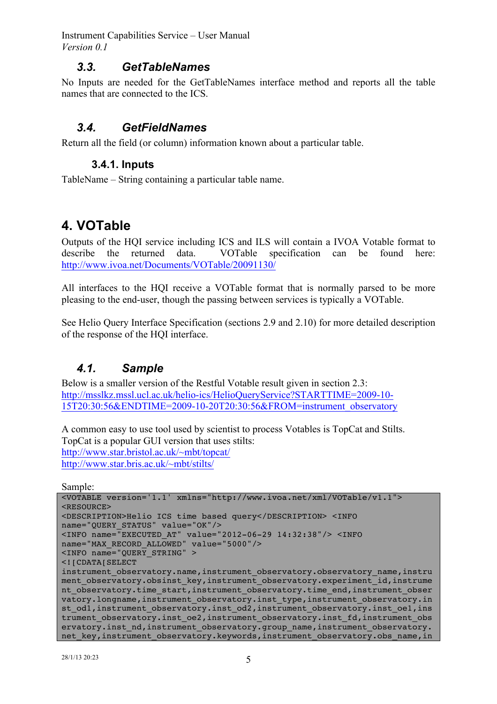#### *3.3. GetTableNames*

No Inputs are needed for the GetTableNames interface method and reports all the table names that are connected to the ICS.

### *3.4. GetFieldNames*

Return all the field (or column) information known about a particular table.

#### **3.4.1. Inputs**

TableName – String containing a particular table name.

## **4. VOTable**

Outputs of the HQI service including ICS and ILS will contain a IVOA Votable format to describe the returned data. VOTable specification can be found here: http://www.ivoa.net/Documents/VOTable/20091130/

All interfaces to the HQI receive a VOTable format that is normally parsed to be more pleasing to the end-user, though the passing between services is typically a VOTable.

See Helio Query Interface Specification (sections 2.9 and 2.10) for more detailed description of the response of the HQI interface.

## *4.1. Sample*

Below is a smaller version of the Restful Votable result given in section 2.3: http://msslkz.mssl.ucl.ac.uk/helio-ics/HelioQueryService?STARTTIME=2009-10- 15T20:30:56&ENDTIME=2009-10-20T20:30:56&FROM=instrument\_observatory

A common easy to use tool used by scientist to process Votables is TopCat and Stilts. TopCat is a popular GUI version that uses stilts: http://www.star.bristol.ac.uk/~mbt/topcat/ http://www.star.bris.ac.uk/~mbt/stilts/

Sample:

```
<VOTABLE version='1.1' xmlns="http://www.ivoa.net/xml/VOTable/v1.1"> 
<RESOURCE> 
<DESCRIPTION>Helio ICS time based query</DESCRIPTION> <INFO 
name="QUERY_STATUS" value="OK"/> 
<INFO name="EXECUTED_AT" value="2012-06-29 14:32:38"/> <INFO 
name="MAX_RECORD_ALLOWED" value="5000"/> 
\timesINFO name="QUERY STRING" >
<![CDATA[SELECT 
instrument observatory.name, instrument observatory.observatory name, instru
ment observatory.obsinst key,instrument observatory.experiment id, instrume
nt observatory.time_start,instrument_observatory.time_end,instrument_obser
vatory.longname, instrument observatory.inst type, instrument observatory.in
st od1, instrument observatory.inst od2, instrument observatory.inst oe1, ins
trument observatory.inst oe2, instrument observatory.inst fd, instrument obs
ervatory.inst_nd,instrument_observatory.group_name,instrument_observatory.
net key, instrument observatory.keywords, instrument observatory.obs name, in
```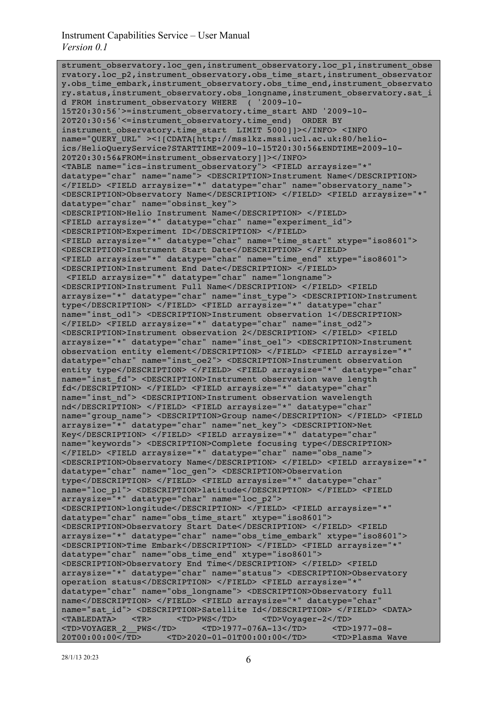strument observatory.loc gen,instrument observatory.loc p1, instrument obse rvatory.loc\_p2,instrument\_observatory.obs\_time\_start,instrument\_observator y.obs time\_embark,instrument\_observatory.obs\_time\_end,instrument\_observato ry.status,instrument\_observatory.obs\_longname,instrument\_observatory.sat\_i d FROM instrument\_observatory WHERE ( '2009-10- 15T20:30:56'>=instrument\_observatory.time\_start AND '2009-10- 20T20:30:56'<=instrument\_observatory.time\_end) ORDER BY instrument\_observatory.time\_start LIMIT 5000]]></INFO> <INFO name="QUERY\_URL" ><![CDATA[http://msslkz.mssl.ucl.ac.uk:80/helioics/HelioQueryService?STARTTIME=2009-10-15T20:30:56&ENDTIME=2009-10- 20T20:30:56&FROM=instrument\_observatory]]></INFO> <TABLE name="ics-instrument\_observatory"> <FIELD arraysize="\*" datatype="char" name="name"> <DESCRIPTION>Instrument Name</DESCRIPTION> </FIELD> <FIELD arraysize="\*" datatype="char" name="observatory\_name"> <DESCRIPTION>Observatory Name</DESCRIPTION> </FIELD> <FIELD arraysize="\*" datatype="char" name="obsinst\_key"> <DESCRIPTION>Helio Instrument Name</DESCRIPTION> </FIELD> <FIELD arraysize="\*" datatype="char" name="experiment\_id"> <DESCRIPTION>Experiment ID</DESCRIPTION> </FIELD> <FIELD arraysize="\*" datatype="char" name="time\_start" xtype="iso8601"> <DESCRIPTION>Instrument Start Date</DESCRIPTION> </FIELD> <FIELD arraysize="\*" datatype="char" name="time\_end" xtype="iso8601"> <DESCRIPTION>Instrument End Date</DESCRIPTION> </FIELD> <FIELD arraysize="\*" datatype="char" name="longname"> <DESCRIPTION>Instrument Full Name</DESCRIPTION> </FIELD> <FIELD arraysize="\*" datatype="char" name="inst\_type"> <DESCRIPTION>Instrument type</DESCRIPTION> </FIELD> <FIELD arraysize="\*" datatype="char" name="inst\_od1"> <DESCRIPTION>Instrument observation 1</DESCRIPTION> </FIELD> <FIELD arraysize="\*" datatype="char" name="inst\_od2"> <DESCRIPTION>Instrument observation 2</DESCRIPTION> </FIELD> <FIELD arraysize="\*" datatype="char" name="inst\_oe1"> <DESCRIPTION>Instrument observation entity element</DESCRIPTION> </FIELD> <FIELD arraysize="\*" datatype="char" name="inst\_oe2"> <DESCRIPTION>Instrument observation entity type</DESCRIPTION> </FIELD> <FIELD arraysize="\*" datatype="char" name="inst\_fd"> <DESCRIPTION>Instrument observation wave length fd</DESCRIPTION> </FIELD> <FIELD arraysize="\*" datatype="char" name="inst\_nd"> <DESCRIPTION>Instrument observation wavelength nd</DESCRIPTION> </FIELD> <FIELD arraysize="\*" datatype="char" name="group\_name"> <DESCRIPTION>Group name</DESCRIPTION> </FIELD> <FIELD arraysize="\*" datatype="char" name="net\_key"> <DESCRIPTION>Net Key</DESCRIPTION> </FIELD> <FIELD arraysize="\*" datatype="char" name="keywords"> <DESCRIPTION>Complete focusing type</DESCRIPTION> </FIELD> <FIELD arraysize="\*" datatype="char" name="obs\_name"> <DESCRIPTION>Observatory Name</DESCRIPTION> </FIELD> <FIELD arraysize="\*" datatype="char" name="loc\_gen"> <DESCRIPTION>Observation type</DESCRIPTION> </FIELD> <FIELD arraysize="\*" datatype="char" name="loc\_p1"> <DESCRIPTION>latitude</DESCRIPTION> </FIELD> <FIELD arraysize="\*" datatype="char" name="loc\_p2"> <DESCRIPTION>longitude</DESCRIPTION> </FIELD> <FIELD arraysize="\*" datatype="char" name="obs\_time\_start" xtype="iso8601"> <DESCRIPTION>Observatory Start Date</DESCRIPTION> </FIELD> <FIELD arraysize="\*" datatype="char" name="obs\_time\_embark" xtype="iso8601"> <DESCRIPTION>Time Embark</DESCRIPTION> </FIELD> <FIELD arraysize="\*" datatype="char" name="obs\_time\_end" xtype="iso8601"> <DESCRIPTION>Observatory End Time</DESCRIPTION> </FIELD> <FIELD arraysize="\*" datatype="char" name="status"> <DESCRIPTION>Observatory operation status</DESCRIPTION> </FIELD> <FIELD arraysize="\*" datatype="char" name="obs\_longname"> <DESCRIPTION>Observatory full name</DESCRIPTION> </FIELD> <FIELD arraysize="\*" datatype="char" name="sat\_id"> <DESCRIPTION>Satellite Id</DESCRIPTION> </FIELD> <DATA> <TABLEDATA> <TR> <TD>PWS</TD> <TD>Voyager-2</TD> <TD>VOYAGER\_2\_\_PWS</TD> <TD>1977-076A-13</TD> <TD>1977-08- 20T00:00:00</TD> <TD>2020-01-01T00:00:00</TD> <TD>Plasma Wave